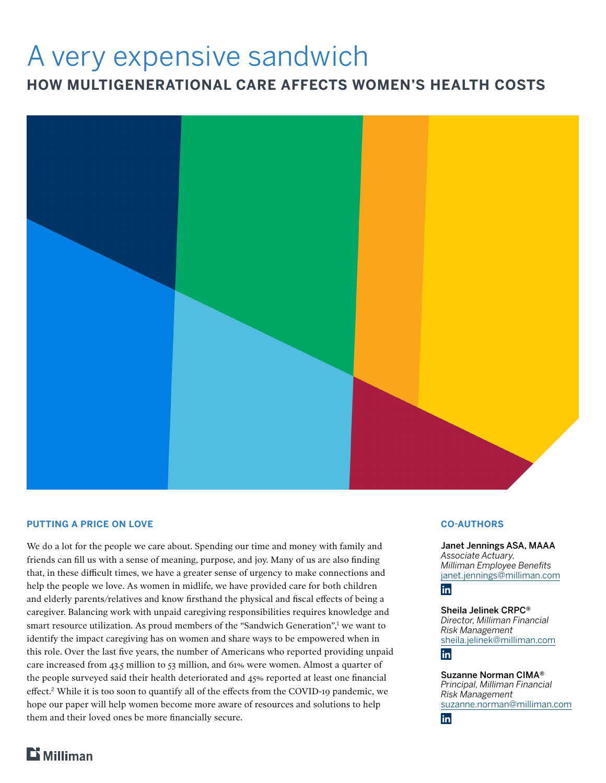# A very expensive sandwich

**HOW MULTIGENERATIONAL CARE AFFECTS WOMEN'S HEALTH COSTS**



#### **PUTTING A PRICE ON LOVE**

We do a lot for the people we care about. Spending our time and money with family and friends can fill us with a sense of meaning, purpose, and joy. Many of us are also finding that, in these difficult times, we have a greater sense of urgency to make connections and help the people we love. As women in midlife, we have provided care for both children and elderly parents/relatives and know firsthand the physical and fiscal effects of being a caregiver. Balancing work with unpaid caregiving responsibilities requires knowledge and smart resource utilization. As proud members of the "Sandwich Generation",<sup>1</sup> we want to identify the impact caregiving has on women and share ways to be empowered when in this role. Over the last five years, the number of Americans who reported providing unpaid care increased from 43.5 million to 53 million, and 61% were women. Almost a quarter of the people surveyed said their health deteriorated and 45% reported at least one financial effect.**<sup>2</sup>** While it is too soon to quantify all of the effects from the COVID-19 pandemic, we hope our paper will help women become more aware of resources and solutions to help them and their loved ones be more financially secure.

#### **CO-AUTHORS**

Janet Jennings ASA, MAAA *Associate Actuary, Milliman Employee Benefits* [janet.jennings@milliman.com](mailto:janet.jennings%40milliman.com?subject=Sandwich%20Generation)

# **in**

Sheila Jelinek CRPC® *Director, Milliman Financial Risk Management* [sheila.jelinek@milliman.com](mailto:sheila.jelinek%40milliman.com?subject=Sandwich%20Generation)

## **lin**

Suzanne Norman CIMA® *Principal, Milliman Financial Risk Management* [suzanne.norman@milliman.com](mailto:suzanne.norman%40milliman.com?subject=Sandwich%20Generation) in

 $$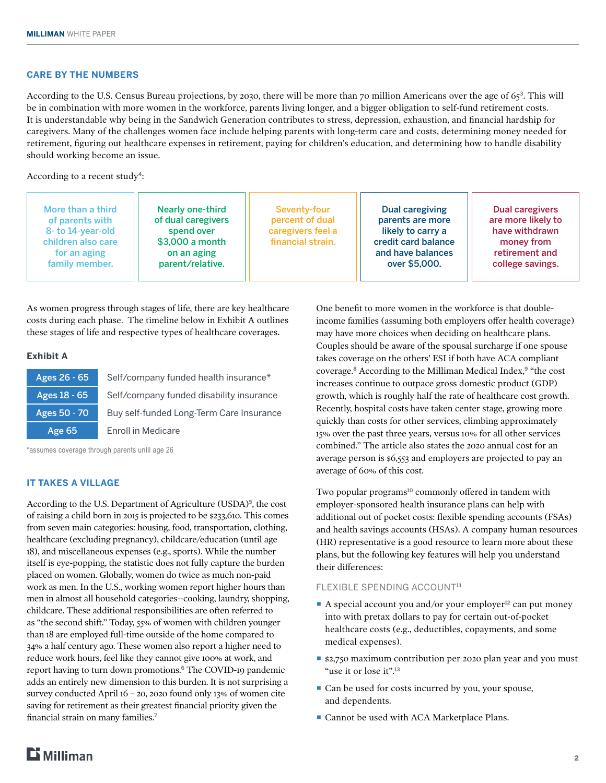### **CARE BY THE NUMBERS**

According to the U.S. Census Bureau projections, by 2030, there will be more than 70 million Americans over the age of 65**<sup>3</sup>**. This will be in combination with more women in the workforce, parents living longer, and a bigger obligation to self-fund retirement costs. It is understandable why being in the Sandwich Generation contributes to stress, depression, exhaustion, and financial hardship for caregivers. Many of the challenges women face include helping parents with long-term care and costs, determining money needed for retirement, figuring out healthcare expenses in retirement, paying for children's education, and determining how to handle disability should working become an issue.

According to a recent study**<sup>4</sup>**:

| More than a third<br>of parents with<br>8- to 14-year-old<br>children also care<br>for an aging<br>family member. | <b>Nearly one-third</b><br>of dual caregivers<br>spend over<br>\$3,000 a month<br>on an aging<br>parent/relative. | Seventy-four<br>percent of dual<br>caregivers feel a<br>financial strain. | Dual caregiving<br>parents are more<br>likely to carry a<br>credit card balance<br>and have balances<br>over \$5,000. | Dual caregivers<br>are more likely to<br>have withdrawn<br>money from<br>retirement and<br>college savings. |
|-------------------------------------------------------------------------------------------------------------------|-------------------------------------------------------------------------------------------------------------------|---------------------------------------------------------------------------|-----------------------------------------------------------------------------------------------------------------------|-------------------------------------------------------------------------------------------------------------|
|-------------------------------------------------------------------------------------------------------------------|-------------------------------------------------------------------------------------------------------------------|---------------------------------------------------------------------------|-----------------------------------------------------------------------------------------------------------------------|-------------------------------------------------------------------------------------------------------------|

As women progress through stages of life, there are key healthcare costs during each phase. The timeline below in Exhibit A outlines these stages of life and respective types of healthcare coverages.

#### **Exhibit A**

| Ages 26 - 65 | Self/company funded health insurance*    |
|--------------|------------------------------------------|
| Ages 18 - 65 | Self/company funded disability insurance |
| Ages 50 - 70 | Buy self-funded Long-Term Care Insurance |
| Age 65       | <b>Enroll in Medicare</b>                |

\*assumes coverage through parents until age 26

#### **IT TAKES A VILLAGE**

According to the U.S. Department of Agriculture (USDA)<sup>5</sup>, the cost of raising a child born in 2015 is projected to be \$233,610. This comes from seven main categories: housing, food, transportation, clothing, healthcare (excluding pregnancy), childcare/education (until age 18), and miscellaneous expenses (e.g., sports). While the number itself is eye-popping, the statistic does not fully capture the burden placed on women. Globally, women do twice as much non-paid work as men. In the U.S., working women report higher hours than men in almost all household categories--cooking, laundry, shopping, childcare. These additional responsibilities are often referred to as "the second shift." Today, 55% of women with children younger than 18 are employed full-time outside of the home compared to 34% a half century ago. These women also report a higher need to reduce work hours, feel like they cannot give 100% at work, and report having to turn down promotions.**<sup>6</sup>** The COVID-19 pandemic adds an entirely new dimension to this burden. It is not surprising a survey conducted April 16 – 20, 2020 found only 13% of women cite saving for retirement as their greatest financial priority given the financial strain on many families.**<sup>7</sup>**

One benefit to more women in the workforce is that doubleincome families (assuming both employers offer health coverage) may have more choices when deciding on healthcare plans. Couples should be aware of the spousal surcharge if one spouse takes coverage on the others' ESI if both have ACA compliant coverage.**<sup>8</sup>** According to the Milliman Medical Index,**<sup>9</sup>** "the cost increases continue to outpace gross domestic product (GDP) growth, which is roughly half the rate of healthcare cost growth. Recently, hospital costs have taken center stage, growing more quickly than costs for other services, climbing approximately 15% over the past three years, versus 10% for all other services combined." The article also states the 2020 annual cost for an average person is \$6,553 and employers are projected to pay an average of 60% of this cost.

Two popular programs**<sup>10</sup>** commonly offered in tandem with employer-sponsored health insurance plans can help with additional out of pocket costs: flexible spending accounts (FSAs) and health savings accounts (HSAs). A company human resources (HR) representative is a good resource to learn more about these plans, but the following key features will help you understand their differences:

#### FLEXIBLE SPENDING ACCOUNT**<sup>11</sup>**

- A special account you and/or your employer<sup>12</sup> can put money into with pretax dollars to pay for certain out-of-pocket healthcare costs (e.g., deductibles, copayments, and some medical expenses).
- \$2,750 maximum contribution per 2020 plan year and you must "use it or lose it".**<sup>13</sup>**
- Can be used for costs incurred by you, your spouse, and dependents.
- Cannot be used with ACA Marketplace Plans.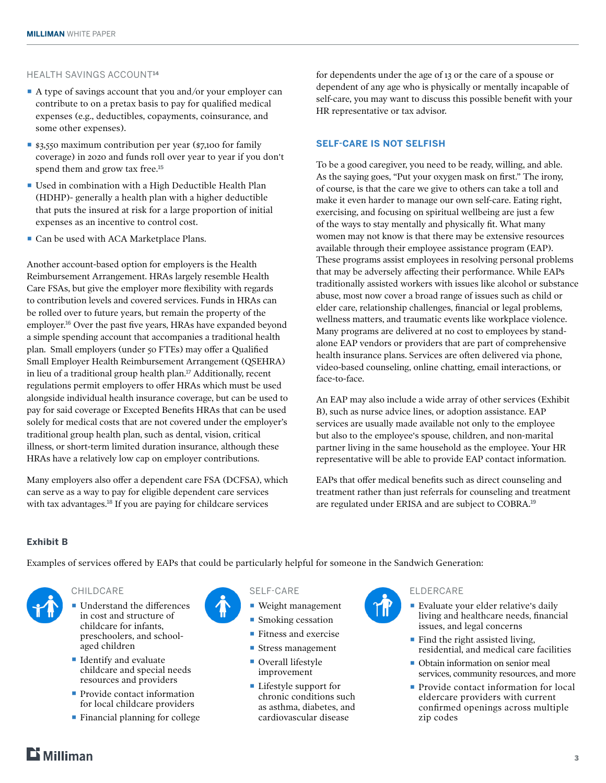#### HEALTH SAVINGS ACCOUNT**<sup>14</sup>**

- A type of savings account that you and/or your employer can contribute to on a pretax basis to pay for qualified medical expenses (e.g., deductibles, copayments, coinsurance, and some other expenses).
- \$3,550 maximum contribution per year (\$7,100 for family coverage) in 2020 and funds roll over year to year if you don't spend them and grow tax free.**<sup>15</sup>**
- Used in combination with a High Deductible Health Plan (HDHP)- generally a health plan with a higher deductible that puts the insured at risk for a large proportion of initial expenses as an incentive to control cost.
- Can be used with ACA Marketplace Plans.

Another account-based option for employers is the Health Reimbursement Arrangement. HRAs largely resemble Health Care FSAs, but give the employer more flexibility with regards to contribution levels and covered services. Funds in HRAs can be rolled over to future years, but remain the property of the employer.**<sup>16</sup>** Over the past five years, HRAs have expanded beyond a simple spending account that accompanies a traditional health plan. Small employers (under 50 FTEs) may offer a Qualified Small Employer Health Reimbursement Arrangement (QSEHRA) in lieu of a traditional group health plan.**<sup>17</sup>** Additionally, recent regulations permit employers to offer HRAs which must be used alongside individual health insurance coverage, but can be used to pay for said coverage or Excepted Benefits HRAs that can be used solely for medical costs that are not covered under the employer's traditional group health plan, such as dental, vision, critical illness, or short-term limited duration insurance, although these HRAs have a relatively low cap on employer contributions.

Many employers also offer a dependent care FSA (DCFSA), which can serve as a way to pay for eligible dependent care services with tax advantages.**<sup>18</sup>** If you are paying for childcare services

for dependents under the age of 13 or the care of a spouse or dependent of any age who is physically or mentally incapable of self-care, you may want to discuss this possible benefit with your HR representative or tax advisor.

#### **SELF-CARE IS NOT SELFISH**

To be a good caregiver, you need to be ready, willing, and able. As the saying goes, "Put your oxygen mask on first." The irony, of course, is that the care we give to others can take a toll and make it even harder to manage our own self-care. Eating right, exercising, and focusing on spiritual wellbeing are just a few of the ways to stay mentally and physically fit. What many women may not know is that there may be extensive resources available through their employee assistance program (EAP). These programs assist employees in resolving personal problems that may be adversely affecting their performance. While EAPs traditionally assisted workers with issues like alcohol or substance abuse, most now cover a broad range of issues such as child or elder care, relationship challenges, financial or legal problems, wellness matters, and traumatic events like workplace violence. Many programs are delivered at no cost to employees by standalone EAP vendors or providers that are part of comprehensive health insurance plans. Services are often delivered via phone, video-based counseling, online chatting, email interactions, or face-to-face.

An EAP may also include a wide array of other services (Exhibit B), such as nurse advice lines, or adoption assistance. EAP services are usually made available not only to the employee but also to the employee's spouse, children, and non-marital partner living in the same household as the employee. Your HR representative will be able to provide EAP contact information.

EAPs that offer medical benefits such as direct counseling and treatment rather than just referrals for counseling and treatment are regulated under ERISA and are subject to COBRA.**<sup>19</sup>**

#### **Exhibit B**

Examples of services offered by EAPs that could be particularly helpful for someone in the Sandwich Generation:



#### CHILDCARE

- Understand the differences in cost and structure of childcare for infants, preschoolers, and schoolaged children
- Identify and evaluate childcare and special needs resources and providers
- Provide contact information for local childcare providers
- Financial planning for college



- Weight management
- Smoking cessation
- Fitness and exercise
- **Exercise Stress management**
- Overall lifestyle improvement
- Lifestyle support for chronic conditions such as asthma, diabetes, and cardiovascular disease



- Evaluate your elder relative's daily living and healthcare needs, financial issues, and legal concerns
- $\blacksquare$  Find the right assisted living, residential, and medical care facilities
- Obtain information on senior meal services, community resources, and more
- Provide contact information for local eldercare providers with current confirmed openings across multiple zip codes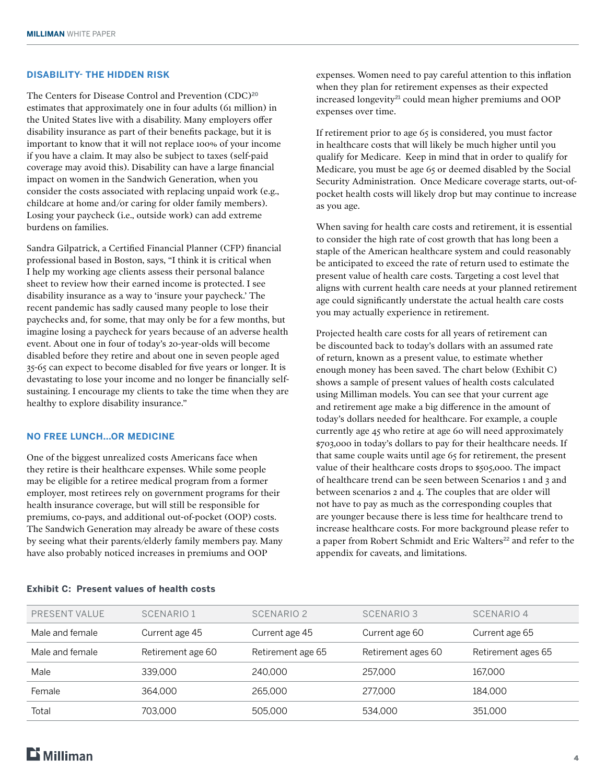#### **DISABILITY- THE HIDDEN RISK**

The Centers for Disease Control and Prevention (CDC)**<sup>20</sup>** estimates that approximately one in four adults (61 million) in the United States live with a disability. Many employers offer disability insurance as part of their benefits package, but it is important to know that it will not replace 100% of your income if you have a claim. It may also be subject to taxes (self-paid coverage may avoid this). Disability can have a large financial impact on women in the Sandwich Generation, when you consider the costs associated with replacing unpaid work (e.g., childcare at home and/or caring for older family members). Losing your paycheck (i.e., outside work) can add extreme burdens on families.

Sandra Gilpatrick, a Certified Financial Planner (CFP) financial professional based in Boston, says, "I think it is critical when I help my working age clients assess their personal balance sheet to review how their earned income is protected. I see disability insurance as a way to 'insure your paycheck.' The recent pandemic has sadly caused many people to lose their paychecks and, for some, that may only be for a few months, but imagine losing a paycheck for years because of an adverse health event. About one in four of today's 20-year-olds will become disabled before they retire and about one in seven people aged 35-65 can expect to become disabled for five years or longer. It is devastating to lose your income and no longer be financially selfsustaining. I encourage my clients to take the time when they are healthy to explore disability insurance."

#### **NO FREE LUNCH...OR MEDICINE**

One of the biggest unrealized costs Americans face when they retire is their healthcare expenses. While some people may be eligible for a retiree medical program from a former employer, most retirees rely on government programs for their health insurance coverage, but will still be responsible for premiums, co-pays, and additional out-of-pocket (OOP) costs. The Sandwich Generation may already be aware of these costs by seeing what their parents/elderly family members pay. Many have also probably noticed increases in premiums and OOP

expenses. Women need to pay careful attention to this inflation when they plan for retirement expenses as their expected increased longevity**<sup>21</sup>** could mean higher premiums and OOP expenses over time.

If retirement prior to age 65 is considered, you must factor in healthcare costs that will likely be much higher until you qualify for Medicare. Keep in mind that in order to qualify for Medicare, you must be age 65 or deemed disabled by the Social Security Administration. Once Medicare coverage starts, out-ofpocket health costs will likely drop but may continue to increase as you age.

When saving for health care costs and retirement, it is essential to consider the high rate of cost growth that has long been a staple of the American healthcare system and could reasonably be anticipated to exceed the rate of return used to estimate the present value of health care costs. Targeting a cost level that aligns with current health care needs at your planned retirement age could significantly understate the actual health care costs you may actually experience in retirement.

Projected health care costs for all years of retirement can be discounted back to today's dollars with an assumed rate of return, known as a present value, to estimate whether enough money has been saved. The chart below (Exhibit C) shows a sample of present values of health costs calculated using Milliman models. You can see that your current age and retirement age make a big difference in the amount of today's dollars needed for healthcare. For example, a couple currently age 45 who retire at age 60 will need approximately \$703,000 in today's dollars to pay for their healthcare needs. If that same couple waits until age 65 for retirement, the present value of their healthcare costs drops to \$505,000. The impact of healthcare trend can be seen between Scenarios 1 and 3 and between scenarios 2 and 4. The couples that are older will not have to pay as much as the corresponding couples that are younger because there is less time for healthcare trend to increase healthcare costs. For more background please refer to a paper from Robert Schmidt and Eric Walters**<sup>22</sup>** and refer to the appendix for caveats, and limitations.

| PRESENT VALUE   | SCENARIO 1        | SCENARIO <sub>2</sub> | <b>SCENARIO 3</b>  | SCENARIO 4         |  |
|-----------------|-------------------|-----------------------|--------------------|--------------------|--|
| Male and female | Current age 45    | Current age 45        | Current age 60     | Current age 65     |  |
| Male and female | Retirement age 60 | Retirement age 65     | Retirement ages 60 | Retirement ages 65 |  |
| Male            | 339,000           | 240,000               | 257,000            | 167.000            |  |
| Female          | 364.000           | 265,000               | 277,000            | 184.000            |  |
| Total           | 703.000           | 505.000               | 534.000            | 351,000            |  |

#### **Exhibit C: Present values of health costs**

# $\mathbf{E}$  Milliman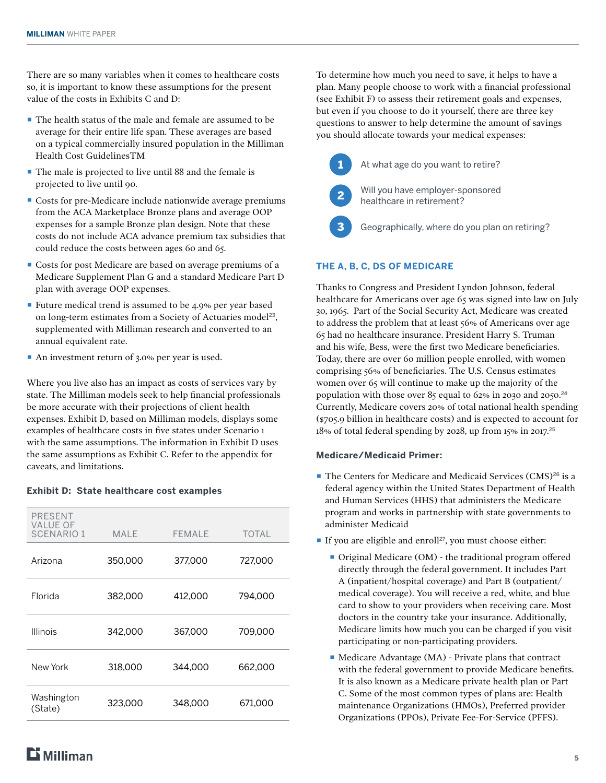There are so many variables when it comes to healthcare costs so, it is important to know these assumptions for the present value of the costs in Exhibits C and D:

- The health status of the male and female are assumed to be average for their entire life span. These averages are based on a typical commercially insured population in the Milliman Health Cost GuidelinesTM
- The male is projected to live until 88 and the female is projected to live until 90.
- Costs for pre-Medicare include nationwide average premiums from the ACA Marketplace Bronze plans and average OOP expenses for a sample Bronze plan design. Note that these costs do not include ACA advance premium tax subsidies that could reduce the costs between ages 60 and 65.
- Costs for post Medicare are based on average premiums of a Medicare Supplement Plan G and a standard Medicare Part D plan with average OOP expenses.
- Future medical trend is assumed to be 4.9% per year based on long-term estimates from a Society of Actuaries model**<sup>23</sup>**, supplemented with Milliman research and converted to an annual equivalent rate.
- An investment return of 3.0% per year is used.

Where you live also has an impact as costs of services vary by state. The Milliman models seek to help financial professionals be more accurate with their projections of client health expenses. Exhibit D, based on Milliman models, displays some examples of healthcare costs in five states under Scenario 1 with the same assumptions. The information in Exhibit D uses the same assumptions as Exhibit C. Refer to the appendix for caveats, and limitations.

#### **Exhibit D: State healthcare cost examples**

| <b>PRESENT</b><br><b>VALUE OF</b><br><b>SCENARIO1</b> | <b>MALE</b> | <b>FEMALE</b> | <b>TOTAL</b> |
|-------------------------------------------------------|-------------|---------------|--------------|
| Arizona                                               | 350,000     | 377,000       | 727,000      |
| Florida                                               | 382,000     | 412,000       | 794,000      |
| <b>Illinois</b>                                       | 342.000     | 367,000       | 709.000      |
| New York                                              | 318,000     | 344.000       | 662.000      |
| Washington<br>(State)                                 | 323,000     | 348,000       | 671.000      |

To determine how much you need to save, it helps to have a plan. Many people choose to work with a financial professional (see Exhibit F) to assess their retirement goals and expenses, but even if you choose to do it yourself, there are three key questions to answer to help determine the amount of savings you should allocate towards your medical expenses:



At what age do you want to retire?

Will you have employer-sponsored healthcare in retirement?

Geographically, where do you plan on retiring?

#### **THE A, B, C, DS OF MEDICARE**

Thanks to Congress and President Lyndon Johnson, federal healthcare for Americans over age 65 was signed into law on July 30, 1965. Part of the Social Security Act, Medicare was created to address the problem that at least 56% of Americans over age 65 had no healthcare insurance. President Harry S. Truman and his wife, Bess, were the first two Medicare beneficiaries. Today, there are over 60 million people enrolled, with women comprising 56% of beneficiaries. The U.S. Census estimates women over 65 will continue to make up the majority of the population with those over 85 equal to 62% in 2030 and 2050.**<sup>24</sup>** Currently, Medicare covers 20% of total national health spending (\$705.9 billion in healthcare costs) and is expected to account for 18% of total federal spending by 2028, up from 15% in 2017.**<sup>25</sup>**

#### **Medicare/Medicaid Primer:**

- The Centers for Medicare and Medicaid Services (CMS)<sup>26</sup> is a federal agency within the United States Department of Health and Human Services (HHS) that administers the Medicare program and works in partnership with state governments to administer Medicaid
- If you are eligible and enroll<sup>27</sup>, you must choose either:
	- Original Medicare (OM) the traditional program offered directly through the federal government. It includes Part A (inpatient/hospital coverage) and Part B (outpatient/ medical coverage). You will receive a red, white, and blue card to show to your providers when receiving care. Most doctors in the country take your insurance. Additionally, Medicare limits how much you can be charged if you visit participating or non-participating providers.
	- Medicare Advantage (MA) Private plans that contract with the federal government to provide Medicare benefits. It is also known as a Medicare private health plan or Part C. Some of the most common types of plans are: Health maintenance Organizations (HMOs), Preferred provider Organizations (PPOs), Private Fee-For-Service (PFFS).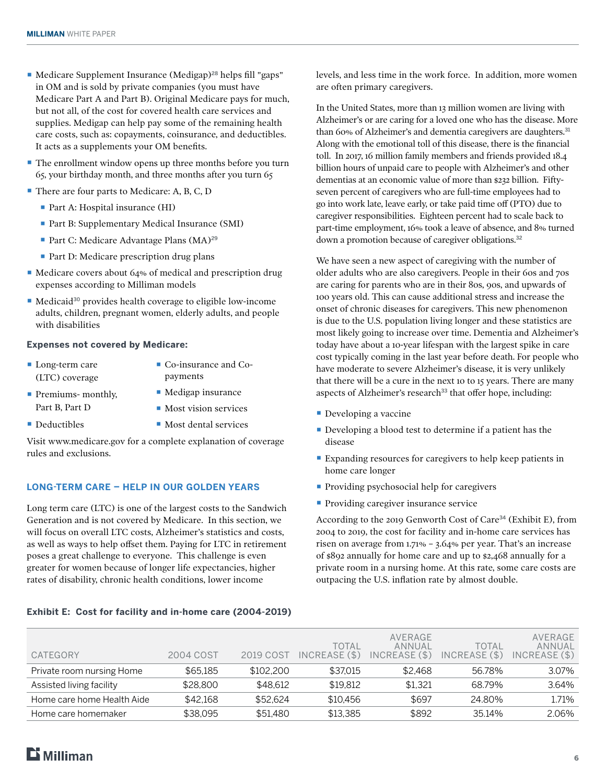- Medicare Supplement Insurance (Medigap)<sup>28</sup> helps fill "gaps" in OM and is sold by private companies (you must have Medicare Part A and Part B). Original Medicare pays for much, but not all, of the cost for covered health care services and supplies. Medigap can help pay some of the remaining health care costs, such as: copayments, coinsurance, and deductibles. It acts as a supplements your OM benefits.
- The enrollment window opens up three months before you turn 65, your birthday month, and three months after you turn 65
- There are four parts to Medicare: A, B, C, D
	- Part A: Hospital insurance (HI)
	- Part B: Supplementary Medical Insurance (SMI)
	- Part C: Medicare Advantage Plans (MA)<sup>29</sup>
	- Part D: Medicare prescription drug plans
- Medicare covers about 64% of medical and prescription drug expenses according to Milliman models
- Medicaid<sup>30</sup> provides health coverage to eligible low-income adults, children, pregnant women, elderly adults, and people with disabilities

#### **Expenses not covered by Medicare:**

- Long-term care (LTC) coverage ■ Co-insurance and Copayments
- **Premiums- monthly,** Part B, Part D
- Medigap insurance
- Most vision services
- Deductibles
- Most dental services

Visit www.medicare.gov for a complete explanation of coverage rules and exclusions.

#### **LONG-TERM CARE – HELP IN OUR GOLDEN YEARS**

Long term care (LTC) is one of the largest costs to the Sandwich Generation and is not covered by Medicare. In this section, we will focus on overall LTC costs, Alzheimer's statistics and costs, as well as ways to help offset them. Paying for LTC in retirement poses a great challenge to everyone. This challenge is even greater for women because of longer life expectancies, higher rates of disability, chronic health conditions, lower income

levels, and less time in the work force. In addition, more women are often primary caregivers.

In the United States, more than 13 million women are living with Alzheimer's or are caring for a loved one who has the disease. More than 60% of Alzheimer's and dementia caregivers are daughters.**<sup>31</sup>** Along with the emotional toll of this disease, there is the financial toll. In 2017, 16 million family members and friends provided 18.4 billion hours of unpaid care to people with Alzheimer's and other dementias at an economic value of more than \$232 billion. Fiftyseven percent of caregivers who are full-time employees had to go into work late, leave early, or take paid time off (PTO) due to caregiver responsibilities. Eighteen percent had to scale back to part-time employment, 16% took a leave of absence, and 8% turned down a promotion because of caregiver obligations.**<sup>32</sup>**

We have seen a new aspect of caregiving with the number of older adults who are also caregivers. People in their 60s and 70s are caring for parents who are in their 80s, 90s, and upwards of 100 years old. This can cause additional stress and increase the onset of chronic diseases for caregivers. This new phenomenon is due to the U.S. population living longer and these statistics are most likely going to increase over time. Dementia and Alzheimer's today have about a 10-year lifespan with the largest spike in care cost typically coming in the last year before death. For people who have moderate to severe Alzheimer's disease, it is very unlikely that there will be a cure in the next 10 to 15 years. There are many aspects of Alzheimer's research**<sup>33</sup>** that offer hope, including:

- **Developing a vaccine**
- Developing a blood test to determine if a patient has the disease
- Expanding resources for caregivers to help keep patients in home care longer
- **Providing psychosocial help for caregivers**
- Providing caregiver insurance service

According to the 2019 Genworth Cost of Care**<sup>34</sup>** (Exhibit E), from 2004 to 2019, the cost for facility and in-home care services has risen on average from 1.71% – 3.64% per year. That's an increase of \$892 annually for home care and up to \$2,468 annually for a private room in a nursing home. At this rate, some care costs are outpacing the U.S. inflation rate by almost double.

| CATEGORY                   | 2004 COST | 2019 COST | TOTAL<br>INCREASE(S) | AVERAGE<br>ANNUAL<br>INCREASE(S) | TOTAL<br>INCREASE (\$) | AVERAGE<br>ANNUAL<br>INCREASE (\$) |
|----------------------------|-----------|-----------|----------------------|----------------------------------|------------------------|------------------------------------|
| Private room nursing Home  | \$65,185  | \$102,200 | \$37.015             | \$2.468                          | 56.78%                 | 3.07%                              |
| Assisted living facility   | \$28,800  | \$48.612  | \$19.812             | \$1.321                          | 68.79%                 | 3.64%                              |
| Home care home Health Aide | \$42.168  | \$52,624  | \$10.456             | \$697                            | 24.80%                 | 1.71%                              |
| Home care homemaker        | \$38.095  | \$51.480  | \$13.385             | \$892                            | 35.14%                 | 2.06%                              |

#### **Exhibit E: Cost for facility and in-home care (2004-2019)**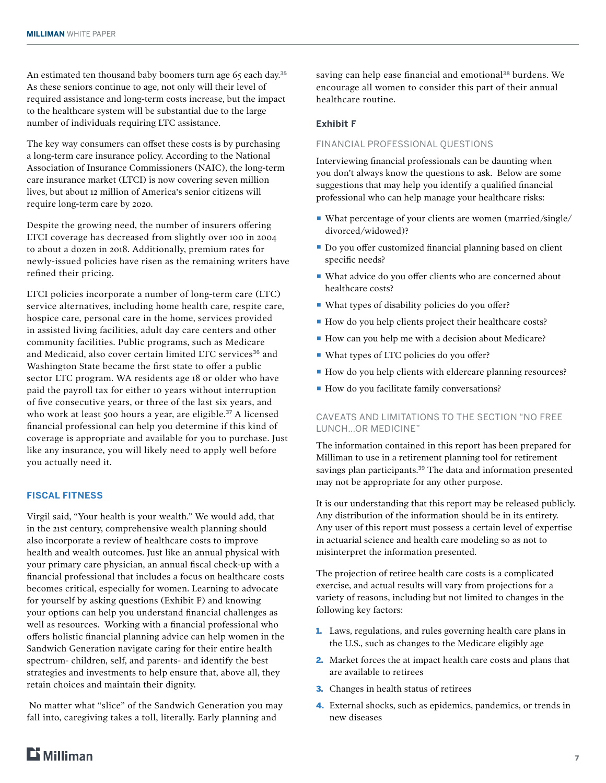An estimated ten thousand baby boomers turn age 65 each day.**<sup>35</sup>** As these seniors continue to age, not only will their level of required assistance and long-term costs increase, but the impact to the healthcare system will be substantial due to the large number of individuals requiring LTC assistance.

The key way consumers can offset these costs is by purchasing a long-term care insurance policy. According to the National Association of Insurance Commissioners (NAIC), the long-term care insurance market (LTCI) is now covering seven million lives, but about 12 million of America's senior citizens will require long-term care by 2020.

Despite the growing need, the number of insurers offering LTCI coverage has decreased from slightly over 100 in 2004 to about a dozen in 2018. Additionally, premium rates for newly-issued policies have risen as the remaining writers have refined their pricing.

LTCI policies incorporate a number of long-term care (LTC) service alternatives, including home health care, respite care, hospice care, personal care in the home, services provided in assisted living facilities, adult day care centers and other community facilities. Public programs, such as Medicare and Medicaid, also cover certain limited LTC services**<sup>36</sup>** and Washington State became the first state to offer a public sector LTC program. WA residents age 18 or older who have paid the payroll tax for either 10 years without interruption of five consecutive years, or three of the last six years, and who work at least 500 hours a year, are eligible.**<sup>37</sup>** A licensed financial professional can help you determine if this kind of coverage is appropriate and available for you to purchase. Just like any insurance, you will likely need to apply well before you actually need it.

#### **FISCAL FITNESS**

Virgil said, "Your health is your wealth." We would add, that in the 21st century, comprehensive wealth planning should also incorporate a review of healthcare costs to improve health and wealth outcomes. Just like an annual physical with your primary care physician, an annual fiscal check-up with a financial professional that includes a focus on healthcare costs becomes critical, especially for women. Learning to advocate for yourself by asking questions (Exhibit F) and knowing your options can help you understand financial challenges as well as resources. Working with a financial professional who offers holistic financial planning advice can help women in the Sandwich Generation navigate caring for their entire health spectrum- children, self, and parents- and identify the best strategies and investments to help ensure that, above all, they retain choices and maintain their dignity.

 No matter what "slice" of the Sandwich Generation you may fall into, caregiving takes a toll, literally. Early planning and

saving can help ease financial and emotional**<sup>38</sup>** burdens. We encourage all women to consider this part of their annual healthcare routine.

#### **Exhibit F**

#### FINANCIAL PROFESSIONAL QUESTIONS

Interviewing financial professionals can be daunting when you don't always know the questions to ask. Below are some suggestions that may help you identify a qualified financial professional who can help manage your healthcare risks:

- What percentage of your clients are women (married/single/ divorced/widowed)?
- Do you offer customized financial planning based on client specific needs?
- What advice do you offer clients who are concerned about healthcare costs?
- What types of disability policies do you offer?
- How do you help clients project their healthcare costs?
- How can you help me with a decision about Medicare?
- What types of LTC policies do you offer?
- How do you help clients with eldercare planning resources?
- How do you facilitate family conversations?

#### CAVEATS AND LIMITATIONS TO THE SECTION "NO FREE LUNCH…OR MEDICINE"

The information contained in this report has been prepared for Milliman to use in a retirement planning tool for retirement savings plan participants.**<sup>39</sup>** The data and information presented may not be appropriate for any other purpose.

It is our understanding that this report may be released publicly. Any distribution of the information should be in its entirety. Any user of this report must possess a certain level of expertise in actuarial science and health care modeling so as not to misinterpret the information presented.

The projection of retiree health care costs is a complicated exercise, and actual results will vary from projections for a variety of reasons, including but not limited to changes in the following key factors:

- 1. Laws, regulations, and rules governing health care plans in the U.S., such as changes to the Medicare eligibly age
- 2. Market forces the at impact health care costs and plans that are available to retirees
- 3. Changes in health status of retirees
- 4. External shocks, such as epidemics, pandemics, or trends in new diseases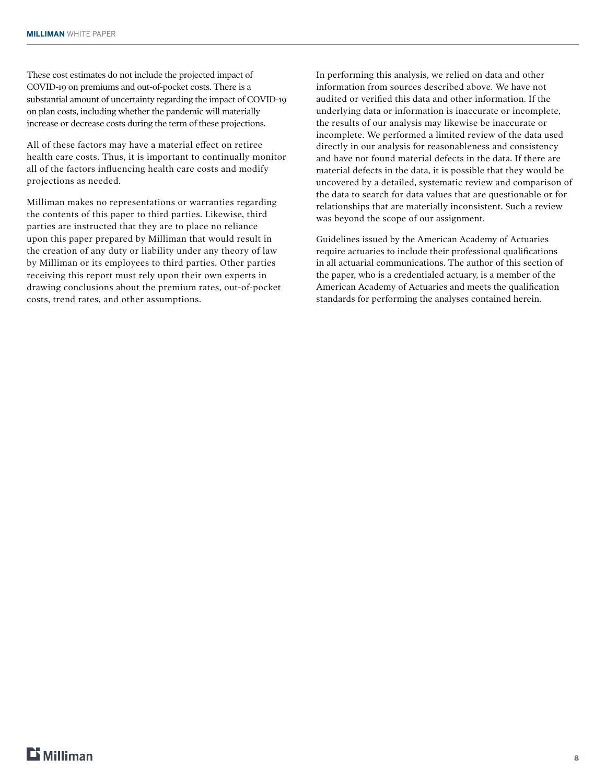These cost estimates do not include the projected impact of COVID-19 on premiums and out-of-pocket costs. There is a substantial amount of uncertainty regarding the impact of COVID-19 on plan costs, including whether the pandemic will materially increase or decrease costs during the term of these projections.

All of these factors may have a material effect on retiree health care costs. Thus, it is important to continually monitor all of the factors influencing health care costs and modify projections as needed.

Milliman makes no representations or warranties regarding the contents of this paper to third parties. Likewise, third parties are instructed that they are to place no reliance upon this paper prepared by Milliman that would result in the creation of any duty or liability under any theory of law by Milliman or its employees to third parties. Other parties receiving this report must rely upon their own experts in drawing conclusions about the premium rates, out-of-pocket costs, trend rates, and other assumptions.

In performing this analysis, we relied on data and other information from sources described above. We have not audited or verified this data and other information. If the underlying data or information is inaccurate or incomplete, the results of our analysis may likewise be inaccurate or incomplete. We performed a limited review of the data used directly in our analysis for reasonableness and consistency and have not found material defects in the data. If there are material defects in the data, it is possible that they would be uncovered by a detailed, systematic review and comparison of the data to search for data values that are questionable or for relationships that are materially inconsistent. Such a review was beyond the scope of our assignment.

Guidelines issued by the American Academy of Actuaries require actuaries to include their professional qualifications in all actuarial communications. The author of this section of the paper, who is a credentialed actuary, is a member of the American Academy of Actuaries and meets the qualification standards for performing the analyses contained herein.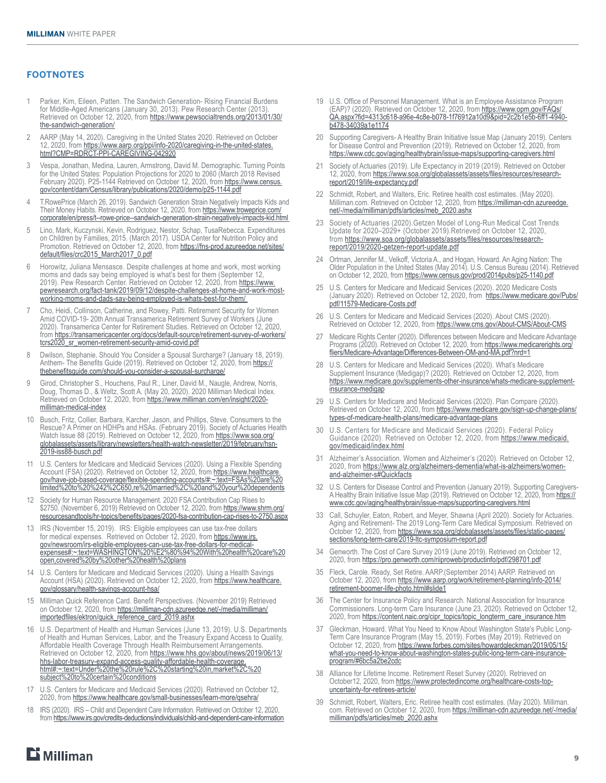#### **FOOTNOTES**

- 1 Parker, Kim, Eileen, Patten. The Sandwich Generation- Rising Financial Burdens for Middle-Aged Americans (January 30, 2013). Pew Research Center (2013) Retrieved on October 12, [2](https://www.pewsocialtrends.org/2013/01/30/the-sandwich-generation/ )020, from [https://www.pewsocialtrends.org/2013/01/30/](https://www.pewsocialtrends.org/2013/01/30/the-sandwich-generation/) [the-sandwich-generation/](https://www.pewsocialtrends.org/2013/01/30/the-sandwich-generation/)
- 2 AARP (May 14, 2020). Caregiving in the United States 2020. Retrieved on October 12, 2020, from [https://www.aarp.org/ppi/info-2020/caregiving-in-the-united-states.](https://www.aarp.org/ppi/info-2020/caregiving-in-the-united-states.html?CMP=RDRCT-PPI-CAREGIVING-042) [html?CMP=RDRCT-PPI-CAREGIVING-042920](https://www.aarp.org/ppi/info-2020/caregiving-in-the-united-states.html?CMP=RDRCT-PPI-CAREGIVING-042)
- 3 Vespa, Jonathan, Medina, Lauren, Armstrong, David M. Demographic. Turning Points for the United States: Population Projections for 2020 to 2060 (March 2018 Revised February 2020). P25-1144 Retrieved on October 12, 2020, from [https://www.census.](https://www.census.gov/content/dam/Census/library/publications/2020/demo/p25-1144.pdf) [gov/content/dam/Census/library/publications/2020/demo/p25-1144.pdf](https://www.census.gov/content/dam/Census/library/publications/2020/demo/p25-1144.pdf)
- 4 T.RowePrice (March 26, 2019). Sandwich Generation Strain Negatively Impacts Kids and Their Money Habits. Retrieved on October 12, 2020, from [https://www.troweprice.com/](https://www.troweprice.com/corporate/en/press/t--rowe-price--sandwich-generation-strain-negatively-impacts-kid.html) [corporate/en/press/t--rowe-price--sandwich-generation-strain-negatively-impacts-kid.html](https://www.troweprice.com/corporate/en/press/t--rowe-price--sandwich-generation-strain-negatively-impacts-kid.html)
- 5 Lino, Mark, Kuczynski, Kevin, Rodriguez, Nestor, Schap, TusaRebecca. Expenditures on Children by Families, 2015. (March 2017). USDA Center for Nutrition Policy and Promotion. Retrieved on October 12, 2020, from [https://fns-prod.azureedge.net/sites/](https://fns-prod.azureedge.net/sites/default/files/crc2015_March2017_0.pdf) [default/files/crc2015\\_March2017\\_0.pdf](https://fns-prod.azureedge.net/sites/default/files/crc2015_March2017_0.pdf)
- 6 Horowitz, Juliana Mensasce. Despite challenges at home and work, most working moms and dads say being employed is what's best for them (September 12, 2019). Pew Research Center. Retrieved on October 12, 2020, from [https://www.](https://www.pewresearch.org/fact-tank/2019/09/12/despite-challenges-at-home-and-work-most-working-mo) [pewresearch.org/fact-tank/2019/09/12/despite-challenges-at-home-and-work-most](https://www.pewresearch.org/fact-tank/2019/09/12/despite-challenges-at-home-and-work-most-working-mo)[working-moms-and-dads-say-being-employed-is-whats-best-for-them/](https://www.pewresearch.org/fact-tank/2019/09/12/despite-challenges-at-home-and-work-most-working-mo)
- 7 Cho, Heidi, Collinson, Catherine, and Rowey, Patti. Retirement Security for Women Amid COVID-19- 20th Annual Transamerica Retirement Survey of Workers (June 2020). Transamerica Center for Retirement Studies. Retrieved on October 12, 2020, from [https://transamericacenter.org/docs/default-source/retirement-survey-of-workers/](https://transamericacenter.org/docs/default-source/retirement-survey-of-workers/tcrs2020_sr_women-re) [tcrs2020\\_sr\\_women-retirement-security-amid-covid.pdf](https://transamericacenter.org/docs/default-source/retirement-survey-of-workers/tcrs2020_sr_women-re)
- 8 Dwilson, Stephanie. Should You Consider a Spousal Surcharge? (January 18, 2019). Anthem- The Benefits Guide (2[0](https://thebenefitsguide.com/should-you-consider-a-spousal-surcharge/ )19). Retrieved on October 12, 2020, from [https://](https://thebenefitsguide.com/should-you-consider-a-spousal-surcharge/) [thebenefitsguide.com/should-you-consider-a-spousal-surcharge/](https://thebenefitsguide.com/should-you-consider-a-spousal-surcharge/)
- 9 Girod, Christopher S., Houchens, Paul R., Liner, David M., Naugle, Andrew, Norris, Doug, Thomas D., & Weltz, Scott A. (May 20, 2020). 2020 Milliman Medical Index. Retrieved on October 12, 2020, from [https://www.milliman.com/en/insight/2020](https://www.milliman.com/en/insight/2020-milliman-medical-index) [milliman-medical-index](https://www.milliman.com/en/insight/2020-milliman-medical-index)
- 10 Busch, Fritz, Collier, Barbara, Karcher, Jason, and Phillips, Steve. Consumers to the Rescue? A Primer on HDHPs and HSAs. (February 2019). Society of Actuaries Health Watch Issue 88 (2019). Retrieved on October 12, 2020, from [https://www.soa.org/](https://www.soa.org/globalassets/assets/library/newsletters/health-watch-newsletter/2019/february/hsn-2019-iss88-busch.pdf) [globalassets/assets/library/newsletters/health-watch-newsletter/2019/february/hsn-](https://www.soa.org/globalassets/assets/library/newsletters/health-watch-newsletter/2019/february/hsn-2019-iss88-busch.pdf)[2019-iss88-busch.pdf](https://www.soa.org/globalassets/assets/library/newsletters/health-watch-newsletter/2019/february/hsn-2019-iss88-busch.pdf)
- 11 U.S. Centers for Medicare and Medicaid Services (2020). Using a Flexible Spending Account (FSA) (2020). Retrieved on October 12, 2020, from [https://www.healthcare.](https://www.healthcare.gov/have-job-based-coverage/flexible-spending-accounts/#:~:text=FSAs%20are%20) [gov/have-job-based-coverage/flexible-spending-accounts/#:~:text=FSAs%20are%20](https://www.healthcare.gov/have-job-based-coverage/flexible-spending-accounts/#:~:text=FSAs%20are%20) [limited%20to%20%242%2C650,re%20married%2C%20and%20your%20dependents](https://www.healthcare.gov/have-job-based-coverage/flexible-spending-accounts/#:~:text=FSAs%20are%20)
- 12 Society for Human Resource Management. 2020 FSA Contribution Cap Rises to \$2750. (November 6, 2019) Retrieved on October 12, 2020, from [https://www.shrm.org/](https://www.shrm.org/resourcesandtools/hr-topics/benefits/pages/2020-fsa-contribution-cap-rises-to-2750.aspx) [resourcesandtools/hr-topics/benefits/pages/2020-fsa-contribution-cap-rises-to-2750.aspx](https://www.shrm.org/resourcesandtools/hr-topics/benefits/pages/2020-fsa-contribution-cap-rises-to-2750.aspx)
- 13 IRS (November 15, 2019). IRS: Eligible employees can use tax-free dollars for medical expenses. Retrieved on October 12, 2020, from [https://www.irs.](https://www.irs.gov/newsroom/irs-eligible-employees-can-use-tax-free-dollars-for-medical-expenses#:~) [gov/newsroom/irs-eligible-employees-can-use-tax-free-dollars-for-medical](https://www.irs.gov/newsroom/irs-eligible-employees-can-use-tax-free-dollars-for-medical-expenses#:~)[expenses#:~:text=WASHINGTON%20%E2%80%94%20With%20health%20care%20](https://www.irs.gov/newsroom/irs-eligible-employees-can-use-tax-free-dollars-for-medical-expenses#:~) [open,covered%20by%20other%20health%20plans](https://www.irs.gov/newsroom/irs-eligible-employees-can-use-tax-free-dollars-for-medical-expenses#:~)
- 14 U.S. Centers for Medicare and Medicaid Services (2020). Using a Health Savings Account (HSA) (2020). Retrieved on October 12, 2020, from [https://www.healthcare.](https://www.healthcare.gov/glossary/health-savings-account-hsa/) [gov/glossary/health-savings-account-hsa/](https://www.healthcare.gov/glossary/health-savings-account-hsa/)
- 15 Milliman Quick Reference Card. Benefit Perspectives. (November 2019) Retrieved on October 12, 2020, from [https://milliman-cdn.azureedge.net/-/media/milliman/](https://milliman-cdn.azureedge.net/-/media/milliman/importedfiles/ektron/quick_reference_card_2019.a) [importedfiles/ektron/quick\\_reference\\_card\\_2019.ashx](https://milliman-cdn.azureedge.net/-/media/milliman/importedfiles/ektron/quick_reference_card_2019.a)
- 16 U.S. Department of Health and Human Services (June 13, 2019). U.S. Departments of Health and Human Services, Labor, and the Treasury Expand Access to Quality, Affordable Health Coverage Through Health Reimbursement Arrangements. Retrieved on October 12, 2020, from [https://www.hhs.gov/about/news/2019/06/13/](https://www.hhs.gov/about/news/2019/06/13/hhs-labor-treasury-expand-access-quality-affordable-health-coverage.html#:~:text=Under%20the%20rule%2C%20starting%20in,market%2C%20subject%20to%20certain%20conditions) [hhs-labor-treasury-expand-access-quality-affordable-health-coverage.](https://www.hhs.gov/about/news/2019/06/13/hhs-labor-treasury-expand-access-quality-affordable-health-coverage.html#:~:text=Under%20the%20rule%2C%20starting%20in,market%2C%20subject%20to%20certain%20conditions) [html#:~:text=Under%20the%20rule%2C%20starting%20in,market%2C%20](https://www.hhs.gov/about/news/2019/06/13/hhs-labor-treasury-expand-access-quality-affordable-health-coverage.html#:~:text=Under%20the%20rule%2C%20starting%20in,market%2C%20subject%20to%20certain%20conditions) [subject%20to%20certain%20conditions](https://www.hhs.gov/about/news/2019/06/13/hhs-labor-treasury-expand-access-quality-affordable-health-coverage.html#:~:text=Under%20the%20rule%2C%20starting%20in,market%2C%20subject%20to%20certain%20conditions)
- 17 U.S. Centers for Medicare and Medicaid Services (2020). Retrieved on October 12, 2020, from <https://www.healthcare.gov/small-businesses/learn-more/qsehra/>
- 18 IRS (2020). IRS Child and Dependent Care Information. Retrieved on October 12, 2020, from<https://www.irs.gov/credits-deductions/individuals/child-and-dependent-care-information>
- 19 U.S. Office of Personnel Management. What is an Employee Assistance Program (EAP)? (2020). Retrieved on October 12, 2020, from [https://www.opm.gov/FAQs/](https://www.opm.gov/FAQs/QA.aspx?fid=4313c618-a96e-4c8e-b078-1f76912a10d9&pid=2c2b1e5b-6ff1-4940-b47) [QA.aspx?fid=4313c618-a96e-4c8e-b078-1f76912a10d9&pid=2c2b1e5b-6ff1-4940](https://www.opm.gov/FAQs/QA.aspx?fid=4313c618-a96e-4c8e-b078-1f76912a10d9&pid=2c2b1e5b-6ff1-4940-b47) [b478-34039a1e1174](https://www.opm.gov/FAQs/QA.aspx?fid=4313c618-a96e-4c8e-b078-1f76912a10d9&pid=2c2b1e5b-6ff1-4940-b47)
- 20 Supporting Caregivers- A Healthy Brain Initiative Issue Map (January 2019). Centers for Disease Control and Prevention (2019). Retrieved on October 12, 2020, from <https://www.cdc.gov/aging/healthybrain/issue-maps/supporting-caregivers.html>
- Society of Actuaries (2019). Life Expectancy in 2019 (2019). Retrieved on October 12, 2020, from [https://www.soa.org/globalassets/assets/files/resources/research](https://www.soa.org/globalassets/assets/files/resources/research-report/2019/life-expectancy.pdf)[report/2019/life-expectancy.pdf](https://www.soa.org/globalassets/assets/files/resources/research-report/2019/life-expectancy.pdf)
- 22 Schmidt, Robert, and Walters, Eric. Retiree health cost estimates. (May 2020). Milliman.com. Retrieved on October 12, 2020, from [https://milliman-cdn.azureedge.](https://milliman-cdn.azureedge.net/-/media/milliman/pdfs/articles/meb_2020.ashx) [net/-/media/milliman/pdfs/articles/meb\\_2020.ashx](https://milliman-cdn.azureedge.net/-/media/milliman/pdfs/articles/meb_2020.ashx)
- 23 Society of Actuaries (2020).Getzen Model of Long-Run Medical Cost Trends Update for 2020–2029+ (October 2019).Retrieved on October 12, 2020, from [https://www.soa.org/globalassets/assets/files/resources/research](https://www.soa.org/globalassets/assets/files/resources/research-report/2019/2020-getzen-report-update.pdf)[report/2019/2020-getzen-report-update.pdf](https://www.soa.org/globalassets/assets/files/resources/research-report/2019/2020-getzen-report-update.pdf)
- 24 Ortman, Jennifer M., Velkoff, Victoria A., and Hogan, Howard. An Aging Nation: The Older Population in the United States (May 2014). U.S. Census Bureau (2014). Retrieved on October 12, 2020, from<https://www.census.gov/prod/2014pubs/p25-1140.pdf>
- 25 U.S. Centers for Medicare and Medicaid Services (2020). 2020 Medicare Costs (January 2020). Retrieved on October 12, 2020, from [https://www.medicare.gov/Pubs/](https://www.medicare.gov/Pubs/pdf/11579-Medicare-Costs.pdf) [pdf/11579-Medicare-Costs.pdf](https://www.medicare.gov/Pubs/pdf/11579-Medicare-Costs.pdf)
- 26 U.S. Centers for Medicare and Medicaid Services (2020). About CMS (2020). Retrieved on October 12, 2020, from<https://www.cms.gov/About-CMS/About-CMS>
- 27 Medicare Rights Center (2020). Differences between Medicare and Medicare Advantage Programs (2020). Retrieved on October 12, 2020, from [https://www.medicarerights.org/](https://www.medicarerights.org/fliers/Medicare-Advantage/Differences-Between-OM-and-MA.pdf?nrd=1) [fliers/Medicare-Advantage/Differences-Between-OM-and-MA.pdf?nrd=1](https://www.medicarerights.org/fliers/Medicare-Advantage/Differences-Between-OM-and-MA.pdf?nrd=1)
- U.S. Centers for Medicare and Medicaid Services (2020). What's Medicare Supplement Insurance (Medigap)? (2020). Retrieved on October 12, 2020, from [https://www.medicare.gov/supplements-other-insurance/whats-medicare-supplement](https://www.medicare.gov/supplements-other-insurance/whats-medicare-supplement-insurance-medigap)[insurance-medigap](https://www.medicare.gov/supplements-other-insurance/whats-medicare-supplement-insurance-medigap)
- 29 U.S. Centers for Medicare and Medicaid Services (2020). Plan Compare (2020). Retrieved on October 12, 2020, from [https://www.medicare.gov/sign-up-change-plans/](https://www.medicare.gov/sign-up-change-plans/types-of-medicare-health-plans/medicare-advantage-plans) [types-of-medicare-health-plans/medicare-advantage-plans](https://www.medicare.gov/sign-up-change-plans/types-of-medicare-health-plans/medicare-advantage-plans)
- 30 U.S. Centers for Medicare and Medicaid Services (2020). Federal Policy Guidance (2020). Retrieved on October 12, 2020, from [https://www.medicaid.](https://www.medicaid.gov/medicaid/index.html) [gov/medicaid/index.html](https://www.medicaid.gov/medicaid/index.html)
- Alzheimer's Association. Women and Alzheimer's (2020). Retrieved on October 12, 2020, from [https://www.alz.org/alzheimers-dementia/what-is-alzheimers/women](https://www.alz.org/alzheimers-dementia/what-is-alzheimers/women-and-alzheimer-s#Quickfacts)[and-alzheimer-s#Quickfacts](https://www.alz.org/alzheimers-dementia/what-is-alzheimers/women-and-alzheimer-s#Quickfacts)
- 32 U.S. Centers for Disease Control and Prevention (January 2019). Supporting CaregiversA Healthy Brain Initiative Issue Map (2019). Retrieved on October 12, 2020, from [https://](https://www.cdc.gov/aging/healthybrain/issue-maps/supporting-caregivers.html) [www.cdc.gov/aging/healthybrain/issue-maps/supporting-caregivers.html](https://www.cdc.gov/aging/healthybrain/issue-maps/supporting-caregivers.html)
- 33 Call, Schuyler, Eaton, Robert, and Meyer, Shawna (April 2020). Society for Actuaries. Aging and Retirement- The 2019 Long-Term Care Medical Symposium. Retrieved on October 12, 2020, from [https://www.soa.org/globalassets/assets/files/static-pages/](https://www.soa.org/globalassets/assets/files/static-pages/sections/long-term-care/2019-ltc-symposium-report.pdf) [sections/long-term-care/2019-ltc-symposium-report.pdf](https://www.soa.org/globalassets/assets/files/static-pages/sections/long-term-care/2019-ltc-symposium-report.pdf)
- 34 Genworth. The Cost of Care Survey 2019 (June 2019). Retrieved on October 12, 2020, from<https://pro.genworth.com/riiproweb/productinfo/pdf/298701.pdf>
- 35 Fleck, Carole. Ready, Set Retire. AARP.(September 2014) AARP. Retrieved on October 12, 2020, from [https://www.aarp.org/work/retirement-planning/info-2014/](https://www.aarp.org/work/retirement-planning/info-2014/retirement-boomer-life-photo.html#slide1) [retirement-boomer-life-photo.html#slide1](https://www.aarp.org/work/retirement-planning/info-2014/retirement-boomer-life-photo.html#slide1)
- 36 The Center for Insurance Policy and Research. National Association for Insurance Commissioners. Long-term Care Insurance (June 23, 2020). Retrieved on October 12, 2020, from [https://content.naic.org/cipr\\_topics/topic\\_longterm\\_care\\_insurance.htm](https://content.naic.org/cipr_topics/topic_longterm_care_insurance.htm)
- Gleckman, Howard. What You Need to Know About Washington State's Public Long-Term Care Insurance Program (May 15, 2019). Forbes (May 2019). Retrieved on October 12, 2020, from [https://www.forbes.com/sites/howardgleckman/2019/05/15/](https://www.forbes.com/sites/howardgleckman/2019/05/15/what-you-need-to-know-about-washington-states-public-long-term-care-insurance-program/#6bc5a2be2cdc) [what-you-need-to-know-about-washington-states-public-long-term-care-insurance](https://www.forbes.com/sites/howardgleckman/2019/05/15/what-you-need-to-know-about-washington-states-public-long-term-care-insurance-program/#6bc5a2be2cdc)[program/#6bc5a2be2cdc](https://www.forbes.com/sites/howardgleckman/2019/05/15/what-you-need-to-know-about-washington-states-public-long-term-care-insurance-program/#6bc5a2be2cdc)
- Alliance for Lifetime Income. Retirement Reset Survey (2020). Retrieved on October12, 2020, from [https://www.protectedincome.org/healthcare-costs-top](https://www.protectedincome.org/healthcare-costs-top-uncertainty-for-retirees-article/)[uncertainty-for-retirees-article/](https://www.protectedincome.org/healthcare-costs-top-uncertainty-for-retirees-article/)
- 39 Schmidt, Robert, Walters, Eric. Retiree health cost estimates. (May 2020). Milliman. com. Retrieved on October 12, 2020, from [https://milliman-cdn.azureedge.net/-/media/](https://milliman-cdn.azureedge.net/-/media/milliman/pdfs/articles/meb_2020.ashx) [milliman/pdfs/articles/meb\\_2020.ashx](https://milliman-cdn.azureedge.net/-/media/milliman/pdfs/articles/meb_2020.ashx)

 $E$  Milliman